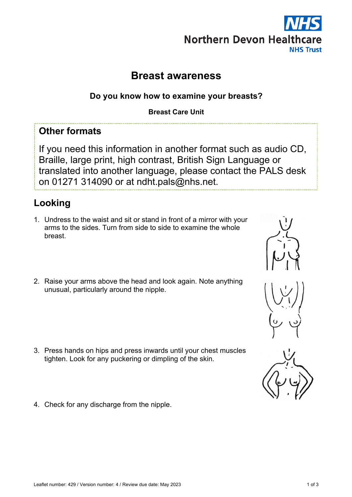# **Northern Devon Healthcare NHS Trust**

# **Breast awareness**

## **Do you know how to examine your breasts?**

#### **Breast Care Unit**

# **Other formats**

If you need this information in another format such as audio CD, Braille, large print, high contrast, British Sign Language or translated into another language, please contact the PALS desk on 01271 314090 or at ndht.pals@nhs.net.

# **Looking**

- 1. Undress to the waist and sit or stand in front of a mirror with your arms to the sides. Turn from side to side to examine the whole breast.
- 2. Raise your arms above the head and look again. Note anything unusual, particularly around the nipple.

- 3. Press hands on hips and press inwards until your chest muscles tighten. Look for any puckering or dimpling of the skin.
- 4. Check for any discharge from the nipple.







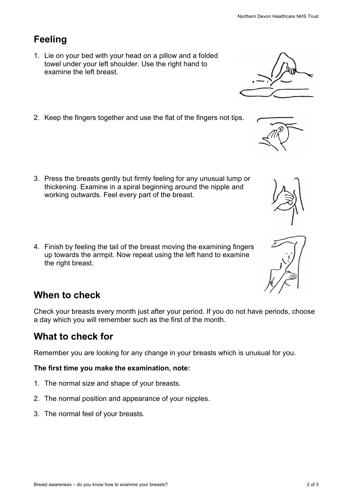## **Feeling**

- 1. Lie on your bed with your head on a pillow and a folded towel under your left shoulder. Use the right hand to examine the left breast.
- 2. Keep the fingers together and use the flat of the fingers not tips.

- 3. Press the breasts gently but firmly feeling for any unusual lump or thickening. Examine in a spiral beginning around the nipple and working outwards. Feel every part of the breast.
- 4. Finish by feeling the tail of the breast moving the examining fingers up towards the armpit. Now repeat using the left hand to examine the right breast.

### **When to check**

Check your breasts every month just after your period. If you do not have periods, choose a day which you will remember such as the first of the month.

## **What to check for**

Remember you are looking for any change in your breasts which is unusual for you.

#### **The first time you make the examination, note:**

- 1. The normal size and shape of your breasts.
- 2. The normal position and appearance of your nipples.
- 3. The normal feel of your breasts.